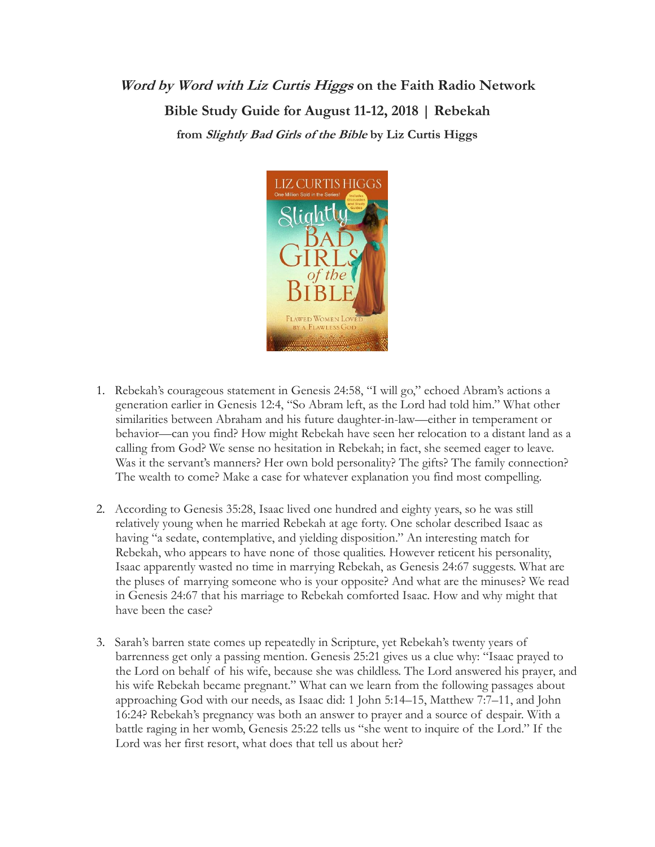## **Word by Word with Liz Curtis Higgs on the Faith Radio Network Bible Study Guide for August 11-12, 2018 | Rebekah from Slightly Bad Girls of the Bible by Liz Curtis Higgs**



- 1. Rebekah's courageous statement in Genesis 24:58, "I will go," echoed Abram's actions a generation earlier in Genesis 12:4, "So Abram left, as the Lord had told him." What other similarities between Abraham and his future daughter-in-law—either in temperament or behavior—can you find? How might Rebekah have seen her relocation to a distant land as a calling from God? We sense no hesitation in Rebekah; in fact, she seemed eager to leave. Was it the servant's manners? Her own bold personality? The gifts? The family connection? The wealth to come? Make a case for whatever explanation you find most compelling.
- 2. According to Genesis 35:28, Isaac lived one hundred and eighty years, so he was still relatively young when he married Rebekah at age forty. One scholar described Isaac as having "a sedate, contemplative, and yielding disposition." An interesting match for Rebekah, who appears to have none of those qualities. However reticent his personality, Isaac apparently wasted no time in marrying Rebekah, as Genesis 24:67 suggests. What are the pluses of marrying someone who is your opposite? And what are the minuses? We read in Genesis 24:67 that his marriage to Rebekah comforted Isaac. How and why might that have been the case?
- 3. Sarah's barren state comes up repeatedly in Scripture, yet Rebekah's twenty years of barrenness get only a passing mention. Genesis 25:21 gives us a clue why: "Isaac prayed to the Lord on behalf of his wife, because she was childless. The Lord answered his prayer, and his wife Rebekah became pregnant." What can we learn from the following passages about approaching God with our needs, as Isaac did: 1 John 5:14–15, Matthew 7:7–11, and John 16:24? Rebekah's pregnancy was both an answer to prayer and a source of despair. With a battle raging in her womb, Genesis 25:22 tells us "she went to inquire of the Lord." If the Lord was her first resort, what does that tell us about her?